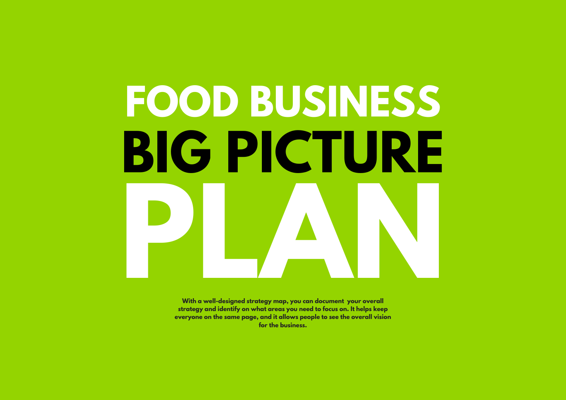# **FOOD BUSINESS BIG PICTURE P Latter Control Control Control Control Control Control Control Control Control Control Control Control Control Control Control Control Control Control Control Control Control Control Control Control Control Control Contro A N**

**With a well-designed strate gy map, you can document yo ur overall strategy and identify on what areas you need to focus on. It helps keep everyone on the same page, and it allows people to see the overall vision for the business.**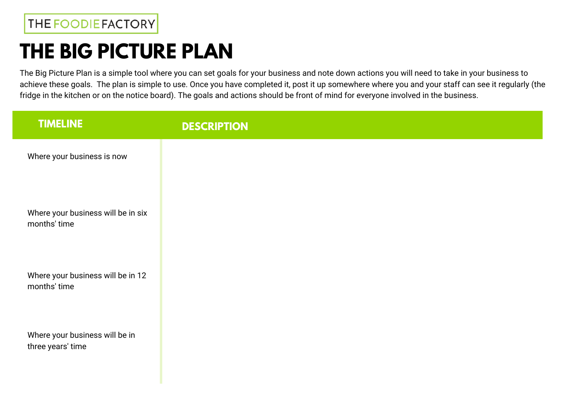## **THE BIG PICTURE PLAN**

The Big Picture Plan is a simple tool where you can set goals for your business and note down actions you will need to take in your business to achieve these goals. The plan is simple to use. Once you have completed it, post it up somewhere where you and your staff can see it regularly (the fridge in the kitchen or on the notice board). The goals and actions should be front of mind for everyone involved in the business.

| <b>TIMELINE</b>                                     | <b>DESCRIPTION</b> |
|-----------------------------------------------------|--------------------|
| Where your business is now                          |                    |
| Where your business will be in six<br>months' time  |                    |
| Where your business will be in 12<br>months' time   |                    |
| Where your business will be in<br>three years' time |                    |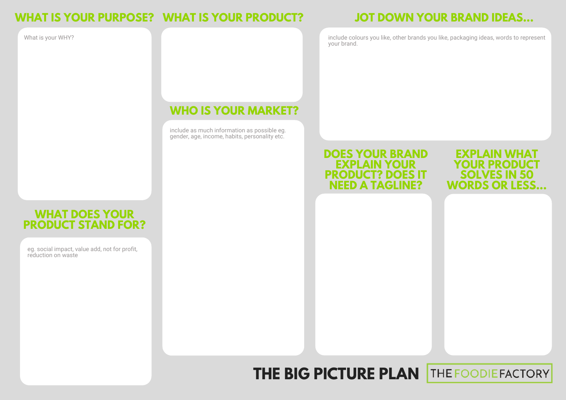#### **WHAT IS YOUR PURPOSE? WHAT IS YOUR PRODUCT?**

What is your WHY?

#### **WHO IS YOUR MARKET?**

include as much information as possible eg. gender, age, income, habits, personality etc.

#### **JOT DOWN YOUR BRAND IDEAS...**

include colours you like, other brands you like, packaging ideas, words to represent your brand.

#### **DOES YOUR BRAND EXPLAIN YOUR PRODUCT? DOES IT NEED A TAGLINE?**

**EXPLAIN** WH **YOUR PRODU SOLVES IN 50 WORDS OR LESS...**

#### **WHAT DOES YOUR PRODUCT STAND FOR?**

eg. social impact, value add, not for profit, reduction on waste

#### **THE BIG PICTURE PLANTHE FOODIE FACTORY**